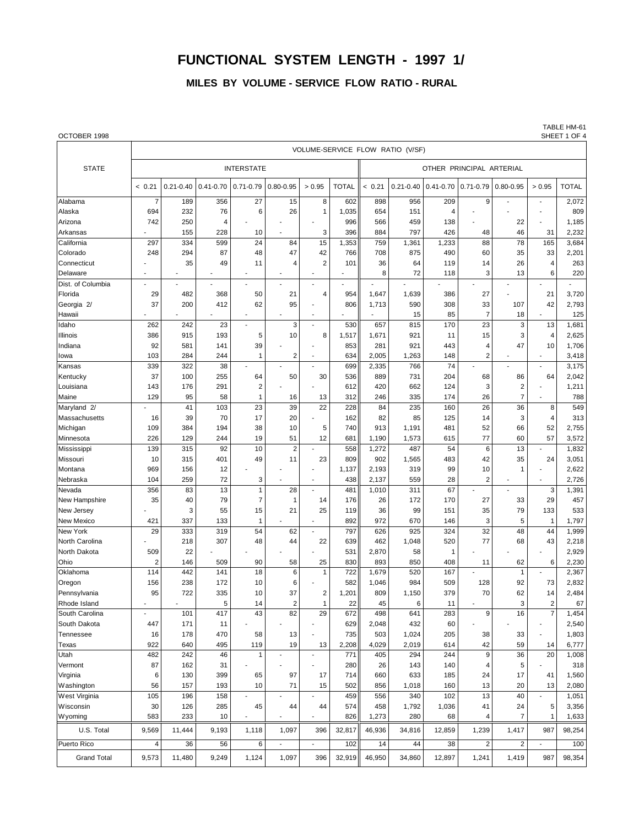# **FUNCTIONAL SYSTEM LENGTH - 1997 1/**

**MILES BY VOLUME - SERVICE FLOW RATIO - RURAL**

#### OCTOBER 1998 SHEET 1 OF 4

TABLE HM-61<br>SHEET 1 OF 4

|                    |                          |               |               |                   |                          |                          |              |                          | VOLUME-SERVICE FLOW RATIO (V/SF) |                          |                          |                          |                          |              |
|--------------------|--------------------------|---------------|---------------|-------------------|--------------------------|--------------------------|--------------|--------------------------|----------------------------------|--------------------------|--------------------------|--------------------------|--------------------------|--------------|
| <b>STATE</b>       |                          |               |               | <b>INTERSTATE</b> |                          |                          |              |                          |                                  | OTHER PRINCIPAL ARTERIAL |                          |                          |                          |              |
|                    | < 0.21                   | $0.21 - 0.40$ | $0.41 - 0.70$ | $0.71 - 0.79$     | $0.80 - 0.95$            | > 0.95                   | <b>TOTAL</b> | < 0.21                   | $0.21 - 0.40$                    | $0.41 - 0.70$            | $0.71 - 0.79$            | $0.80 - 0.95$            | > 0.95                   | <b>TOTAL</b> |
| Alabama            | 7                        | 189           | 356           | 27                | 15                       | 8                        | 602          | 898                      | 956                              | 209                      | 9                        |                          | $\blacksquare$           | 2,072        |
| Alaska             | 694                      | 232           | 76            | 6                 | 26                       | 1                        | 1,035        | 654                      | 151                              | 4                        |                          |                          |                          | 809          |
| Arizona            | 742                      | 250           | 4             |                   |                          |                          | 996          | 566                      | 459                              | 138                      |                          | 22                       | J.                       | 1,185        |
| Arkansas           |                          | 155           | 228           | 10                |                          | 3                        | 396          | 884                      | 797                              | 426                      | 48                       | 46                       | 31                       | 2,232        |
| California         | 297                      | 334           | 599           | 24                | 84                       | 15                       | 1,353        | 759                      | 1,361                            | 1,233                    | 88                       | 78                       | 165                      | 3,684        |
| Colorado           | 248                      | 294           | 87            | 48                | 47                       | 42                       | 766          | 708                      | 875                              | 490                      | 60                       | 35                       | 33                       | 2,201        |
| Connecticut        |                          | 35            | 49            | 11                | 4                        | $\overline{2}$           | 101          | 36                       | 64                               | 119                      | 14                       | 26                       | 4                        | 263          |
| Delaware           |                          |               |               |                   |                          |                          |              | 8                        | 72                               | 118                      | 3                        | 13                       | 6                        | 220          |
| Dist. of Columbia  |                          |               |               | $\overline{a}$    |                          | ä,                       |              | $\overline{\phantom{a}}$ |                                  |                          | $\overline{\phantom{a}}$ | ٠                        | $\blacksquare$           |              |
| Florida            | 29                       | 482           | 368           | 50                | 21                       | 4                        | 954          | 1,647                    | 1,639                            | 386                      | 27                       |                          | 21                       | 3,720        |
| Georgia 2/         | 37                       | 200           | 412           | 62                | 95                       |                          | 806          | 1,713                    | 590                              | 308                      | 33                       | 107                      | 42                       | 2,793        |
| Hawaii             |                          |               |               | ٠                 |                          | ٠                        |              |                          | 15                               | 85                       | 7                        | 18                       |                          | 125          |
| Idaho              | 262                      | 242           | 23            | $\blacksquare$    | 3                        | $\overline{a}$           | 530          | 657                      | 815                              | 170                      | 23                       | 3                        | 13                       | 1,681        |
| Illinois           | 386                      | 915           | 193           | 5                 | 10                       | 8                        | 1,517        | 1,671                    | 921                              | 11                       | 15                       | 3                        | 4                        | 2,625        |
| Indiana            | 92                       | 581           | 141           | 39                |                          |                          | 853          | 281                      | 921                              | 443                      | 4                        | 47                       | 10                       | 1,706        |
| lowa               | 103                      | 284           | 244           | $\mathbf{1}$      | $\overline{c}$           | $\blacksquare$           | 634          | 2,005                    | 1,263                            | 148                      | 2                        | $\overline{\phantom{a}}$ | $\overline{\phantom{a}}$ | 3,418        |
| Kansas             | 339                      | 322           | 38            |                   |                          |                          | 699          | 2,335                    | 766                              | 74                       |                          |                          | $\blacksquare$           | 3,175        |
| Kentucky           | 37                       | 100           | 255           | 64                | 50                       | 30                       | 536          | 889                      | 731                              | 204                      | 68                       | 86                       | 64                       | 2,042        |
| Louisiana          | 143                      | 176           | 291           | $\overline{c}$    |                          |                          | 612          | 420                      | 662                              | 124                      | 3                        | $\overline{2}$           |                          | 1,211        |
| Maine              | 129                      | 95            | 58            | $\mathbf{1}$      | 16                       | 13                       | 312          | 246                      | 335                              | 174                      | 26                       | $\overline{7}$           | $\overline{a}$           | 788          |
| Maryland 2/        |                          | 41            | 103           | 23                | 39                       | 22                       | 228          | 84                       | 235                              | 160                      | 26                       | 36                       | 8                        | 549          |
| Massachusetts      | 16                       | 39            | 70            | 17                | 20                       |                          | 162          | 82                       | 85                               | 125                      | 14                       | 3                        | $\overline{4}$           | 313          |
| Michigan           | 109                      | 384           | 194           | 38                | 10                       | 5                        | 740          | 913                      | 1,191                            | 481                      | 52                       | 66                       | 52                       | 2,755        |
| Minnesota          | 226                      | 129           | 244           | 19                | 51                       | 12                       | 681          | 1,190                    | 1,573                            | 615                      | 77                       | 60                       | 57                       | 3,572        |
| Mississippi        | 139                      | 315           | 92            | 10                | $\overline{2}$           |                          | 558          | 1,272                    | 487                              | 54                       | 6                        | 13                       | $\overline{a}$           | 1,832        |
| Missouri           | 10                       | 315           | 401           | 49                | 11                       | 23                       | 809          | 902                      | 1,565                            | 483                      | 42                       | 35                       | 24                       | 3,051        |
| Montana            | 969                      | 156           | 12            |                   |                          |                          | 1,137        | 2,193                    | 319                              | 99                       | 10                       | $\mathbf{1}$             |                          | 2,622        |
| Nebraska           | 104                      | 259           | 72            | 3                 |                          |                          | 438          | 2,137                    | 559                              | 28                       | 2                        |                          |                          | 2,726        |
| Nevada             | 356                      | 83            | 13            | $\mathbf{1}$      | 28                       |                          | 481          | 1,010                    | 311                              | 67                       |                          |                          | 3                        | 1,391        |
| New Hampshire      | 35                       | 40            | 79            | 7                 | 1                        | 14                       | 176          | 26                       | 172                              | 170                      | 27                       | 33                       | 29                       | 457          |
| New Jersey         |                          | 3             | 55            | 15                | 21                       | 25                       | 119          | 36                       | 99                               | 151                      | 35                       | 79                       | 133                      | 533          |
| New Mexico         | 421                      | 337           | 133           | $\mathbf{1}$      |                          |                          | 892          | 972                      | 670                              | 146                      | 3                        | 5                        | 1                        | 1,797        |
| <b>New York</b>    | 29                       | 333           | 319           | 54                | 62                       |                          | 797          | 626                      | 925                              | 324                      | 32                       | 48                       | 44                       | 1,999        |
| North Carolina     |                          | 218           | 307           | 48                | 44                       | 22                       | 639          | 462                      | 1,048                            | 520                      | 77                       | 68                       | 43                       | 2,218        |
| North Dakota       | 509                      | 22            |               |                   |                          |                          | 531          | 2,870                    | 58                               | $\mathbf{1}$             |                          |                          |                          | 2,929        |
| Ohio               | $\overline{c}$           | 146           | 509           | 90                | 58                       | 25                       | 830          | 893                      | 850                              | 408                      | 11                       | 62                       | 6                        | 2,230        |
| Oklahoma           | 114                      | 442           | 141           | 18                | 6                        | $\mathbf{1}$             | 722          | 1,679                    | 520                              | 167                      |                          | $\mathbf{1}$             |                          | 2,367        |
| Oregon             | 156                      | 238           | 172           | 10                | 6                        |                          | 582          | 1,046                    | 984                              | 509                      | 128                      | 92                       | 73                       | 2,832        |
| Pennsylvania       | 95                       | 722           | 335           | 10                | 37                       | 2                        | 1,201        | 809                      | 1,150                            | 379                      | 70                       | 62                       | 14                       | 2,484        |
| Rhode Island       | $\overline{\phantom{a}}$ |               | 5             | 14                | $\overline{2}$           | 1                        | 22           | 45                       | 6                                | 11                       | $\blacksquare$           | 3                        | $\overline{2}$           | 67           |
| South Carolina     |                          | 101           | 417           | 43                | 82                       | 29                       | 672          | 498                      | 641                              | 283                      | 9                        | 16                       |                          | 1,454        |
| South Dakota       | 447                      | 171           | 11            |                   |                          |                          | 629          | 2,048                    | 432                              | 60                       |                          |                          |                          | 2,540        |
| Tennessee          | 16                       | 178           | 470           | 58                | 13                       | $\blacksquare$           | 735          | 503                      | 1,024                            | 205                      | 38                       | 33                       | $\blacksquare$           | 1,803        |
| Texas              | 922                      | 640           | 495           | 119               | 19                       | 13                       | 2,208        | 4,029                    | 2,019                            | 614                      | 42                       | 59                       | 14                       | 6,777        |
| Utah               | 482                      | 242           | 46            | $\mathbf{1}$      |                          | $\overline{\phantom{a}}$ | 771          | 405                      | 294                              | 244                      | 9                        | 36                       | 20                       | 1,008        |
| Vermont            | 87                       | 162           | 31            |                   |                          |                          | 280          | 26                       | 143                              | 140                      | 4                        | 5                        | $\overline{a}$           | 318          |
| Virginia           | 6                        | 130           | 399           | 65                | 97                       | 17                       | 714          | 660                      | 633                              | 185                      | 24                       | 17                       | 41                       | 1,560        |
| Washington         | 56                       | 157           | 193           | 10                | 71                       | 15                       | 502          | 856                      | 1,018                            | 160                      | 13                       | 20                       | 13                       | 2,080        |
| West Virginia      | 105                      | 196           | 158           |                   |                          |                          | 459          | 556                      | 340                              | 102                      | 13                       | 40                       | $\overline{\phantom{a}}$ | 1,051        |
| Wisconsin          | 30                       | 126           | 285           | 45                | 44                       | 44                       | 574          | 458                      | 1,792                            | 1,036                    | 41                       | 24                       | 5                        | 3,356        |
| Wyoming            | 583                      | 233           | 10            | L.                | ÷,                       | J.                       | 826          | 1,273                    | 280                              | 68                       | 4                        | 7                        | $\mathbf{1}$             | 1,633        |
| U.S. Total         | 9,569                    | 11,444        | 9,193         | 1,118             | 1,097                    | 396                      | 32,817       | 46,936                   | 34,816                           | 12,859                   | 1,239                    | 1,417                    | 987                      | 98,254       |
| Puerto Rico        | 4                        | 36            | 56            | 6                 | $\overline{\phantom{a}}$ | $\sim$                   | 102          | 14                       | 44                               | 38                       | $\overline{2}$           | $\overline{2}$           | $\overline{a}$           | 100          |
| <b>Grand Total</b> | 9,573                    | 11,480        | 9,249         | 1,124             | 1,097                    | 396                      | 32,919       | 46,950                   | 34,860                           | 12,897                   | 1,241                    | 1,419                    | 987                      | 98,354       |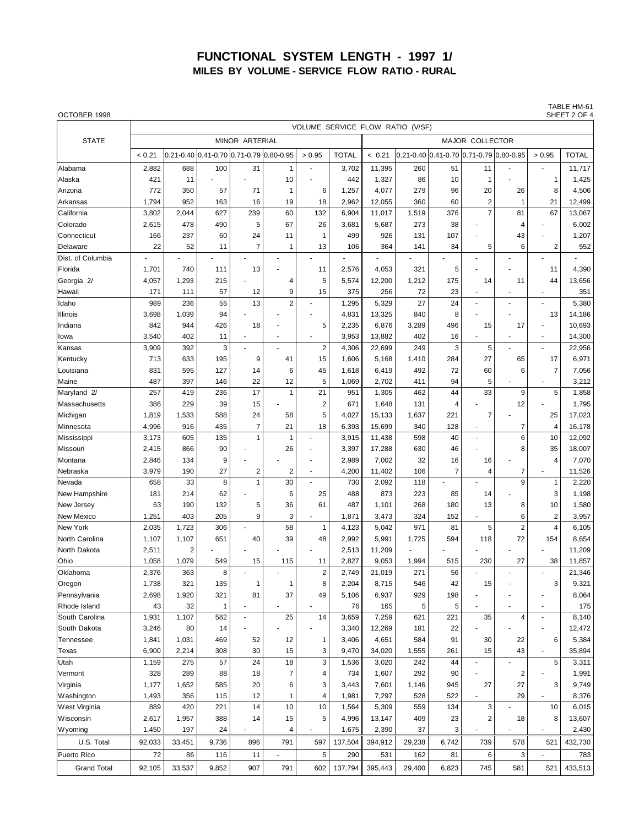## **FUNCTIONAL SYSTEM LENGTH - 1997 1/ MILES BY VOLUME - SERVICE FLOW RATIO - RURAL**

TABLE HM-61<br>SHEET 2 OF 4

| OCTOBER 1998       |        |                         |                                             |                          |                          |                          |                                  |         |        |                                             |                |                         |                          | SHEET 2 OF 4 |  |  |
|--------------------|--------|-------------------------|---------------------------------------------|--------------------------|--------------------------|--------------------------|----------------------------------|---------|--------|---------------------------------------------|----------------|-------------------------|--------------------------|--------------|--|--|
|                    |        |                         |                                             |                          |                          |                          | VOLUME SERVICE FLOW RATIO (V/SF) |         |        |                                             |                |                         |                          |              |  |  |
| <b>STATE</b>       |        |                         |                                             | MINOR ARTERIAL           |                          |                          | MAJOR COLLECTOR                  |         |        |                                             |                |                         |                          |              |  |  |
|                    | < 0.21 |                         | $0.21 - 0.40$ 0.41-0.70 0.71-0.79 0.80-0.95 |                          |                          | > 0.95                   | <b>TOTAL</b>                     | < 0.21  |        | $0.21 - 0.40$ 0.41-0.70 0.71-0.79 0.80-0.95 |                |                         | > 0.95                   | <b>TOTAL</b> |  |  |
|                    |        |                         |                                             |                          |                          |                          |                                  |         |        |                                             |                |                         |                          |              |  |  |
| Alabama            | 2,882  | 688                     | 100                                         | 31                       | $\mathbf{1}$             |                          | 3,702                            | 11,395  | 260    | 51                                          | 11             |                         |                          | 11,717       |  |  |
| Alaska             | 421    | 11                      |                                             |                          | 10                       |                          | 442                              | 1,327   | 86     | 10                                          | 1              |                         | 1                        | 1,425        |  |  |
| Arizona            | 772    | 350                     | 57                                          | 71                       | 1                        | 6                        | 1,257                            | 4,077   | 279    | 96                                          | 20             | 26                      | 8                        | 4,506        |  |  |
| Arkansas           | 1,794  | 952                     | 163                                         | 16                       | 19                       | 18                       | 2,962                            | 12,055  | 360    | 60                                          | $\overline{2}$ | 1                       | 21                       | 12,499       |  |  |
| California         | 3,802  | 2,044                   | 627                                         | 239                      | 60                       | 132                      | 6,904                            | 11,017  | 1,519  | 376                                         | $\overline{7}$ | 81                      | 67                       | 13,067       |  |  |
| Colorado           | 2,615  | 478                     | 490                                         | 5                        | 67                       | 26                       | 3,681                            | 5,687   | 273    | 38                                          |                | 4                       |                          | 6,002        |  |  |
| Connecticut        | 166    | 237                     | 60                                          | 24                       | 11                       | 1                        | 499                              | 926     | 131    | 107                                         | Ĭ.             | 43                      | Ĭ.                       | 1,207        |  |  |
| Delaware           | 22     | 52                      | 11                                          | $\overline{7}$           | $\mathbf{1}$             | 13                       | 106                              | 364     | 141    | 34                                          | 5              | 6                       | $\overline{2}$           | 552          |  |  |
| Dist. of Columbia  |        |                         |                                             |                          |                          |                          |                                  |         |        |                                             | ä,             |                         |                          |              |  |  |
| Florida            | 1,701  | 740                     | 111                                         | 13                       |                          | 11                       | 2,576                            | 4,053   | 321    | 5                                           |                |                         | 11                       | 4,390        |  |  |
| Georgia 2/         | 4,057  | 1,293                   | 215                                         |                          | 4                        | 5                        | 5,574                            | 12,200  | 1,212  | 175                                         | 14             | 11                      | 44                       | 13,656       |  |  |
| Hawaii             | 171    | 111                     | 57                                          | 12                       | 9                        | 15                       | 375                              | 256     | 72     | 23                                          | ÷,             |                         | ä,                       | 351          |  |  |
| Idaho              | 989    | 236                     | 55                                          | 13                       | $\overline{c}$           | L,                       | 1,295                            | 5,329   | 27     | 24                                          | ä,             |                         |                          | 5,380        |  |  |
| Illinois           | 3,698  | 1,039                   | 94                                          |                          |                          |                          | 4,831                            | 13,325  | 840    | 8                                           | ä,             |                         | 13                       | 14,186       |  |  |
| Indiana            | 842    | 944                     | 426                                         | 18                       |                          | 5                        | 2,235                            | 6,876   | 3,289  | 496                                         | 15             | 17                      |                          | 10,693       |  |  |
| lowa               | 3,540  | 402                     | 11                                          | $\overline{\phantom{a}}$ | $\overline{\phantom{a}}$ |                          | 3,953                            | 13,882  | 402    | 16                                          | ä,             |                         | ÷,                       | 14,300       |  |  |
| Kansas             | 3,909  | 392                     | 3                                           | ÷,                       |                          | $\overline{2}$           | 4,306                            | 22,699  | 249    | 3                                           | 5              | ÷,                      | ä,                       | 22,956       |  |  |
| Kentucky           | 713    | 633                     | 195                                         | 9                        | 41                       | 15                       | 1,606                            | 5,168   | 1,410  | 284                                         | 27             | 65                      | 17                       | 6,971        |  |  |
| Louisiana          | 831    | 595                     | 127                                         | 14                       | 6                        | 45                       | 1,618                            | 6,419   | 492    | 72                                          | 60             | 6                       | $\overline{7}$           | 7,056        |  |  |
| Maine              | 487    | 397                     | 146                                         | 22                       | 12                       | 5                        | 1,069                            | 2,702   | 411    | 94                                          | 5              |                         | ä,                       | 3,212        |  |  |
| Maryland 2/        | 257    | 419                     | 236                                         | 17                       | $\mathbf{1}$             | 21                       | 951                              | 1,305   | 462    | 44                                          | 33             | $9\,$                   | 5                        | 1,858        |  |  |
| Massachusetts      | 386    | 229                     | 39                                          | 15                       |                          | 2                        | 671                              | 1,648   | 131    | $\overline{4}$                              |                | 12                      |                          | 1,795        |  |  |
| Michigan           | 1,819  | 1,533                   | 588                                         | 24                       | 58                       | 5                        | 4,027                            | 15,133  | 1,637  | 221                                         | $\overline{7}$ |                         | 25                       | 17,023       |  |  |
| Minnesota          | 4,996  | 916                     | 435                                         | $\overline{7}$           | 21                       | 18                       | 6,393                            | 15,699  | 340    | 128                                         | ÷,             | $\overline{7}$          | 4                        | 16,178       |  |  |
|                    |        |                         |                                             | $\mathbf{1}$             |                          |                          |                                  |         |        |                                             | ä,             | 6                       |                          |              |  |  |
| Mississippi        | 3,173  | 605                     | 135                                         |                          | $\mathbf{1}$             |                          | 3,915                            | 11,438  | 598    | 40                                          |                |                         | 10                       | 12,092       |  |  |
| Missouri           | 2,415  | 866                     | 90                                          |                          | 26                       | ä,                       | 3,397                            | 17,288  | 630    | 46                                          | ä,             | 8                       | 35                       | 18,007       |  |  |
| Montana            | 2,846  | 134                     | 9                                           |                          |                          | ٠                        | 2,989                            | 7,002   | 32     | 16                                          | 16             |                         | $\overline{4}$           | 7,070        |  |  |
| Nebraska           | 3,979  | 190                     | 27                                          | $\overline{\mathbf{c}}$  | $\overline{2}$           | $\overline{\phantom{m}}$ | 4,200                            | 11,402  | 106    | $\overline{7}$                              | 4              | $\overline{7}$          | ۰                        | 11,526       |  |  |
| Nevada             | 658    | 33                      | 8                                           | $\mathbf{1}$             | 30                       | ä,                       | 730                              | 2,092   | 118    |                                             | ä,             | 9                       | 1                        | 2,220        |  |  |
| New Hampshire      | 181    | 214                     | 62                                          |                          | 6                        | 25                       | 488                              | 873     | 223    | 85                                          | 14             |                         | 3                        | 1,198        |  |  |
| New Jersey         | 63     | 190                     | 132                                         | 5                        | 36                       | 61                       | 487                              | 1,101   | 268    | 180                                         | 13             | 8                       | 10                       | 1,580        |  |  |
| New Mexico         | 1,251  | 403                     | 205                                         | 9                        | 3                        | ÷,                       | 1,871                            | 3,473   | 324    | 152                                         | ä,             | 6                       | $\overline{2}$           | 3,957        |  |  |
| <b>New York</b>    | 2,035  | 1,723                   | 306                                         | $\blacksquare$           | 58                       | $\mathbf{1}$             | 4,123                            | 5,042   | 971    | 81                                          | 5              | $\overline{2}$          | 4                        | 6,105        |  |  |
| North Carolina     | 1,107  | 1,107                   | 651                                         | 40                       | 39                       | 48                       | 2,992                            | 5,991   | 1,725  | 594                                         | 118            | 72                      | 154                      | 8,654        |  |  |
| North Dakota       | 2,511  | $\overline{\mathbf{c}}$ |                                             |                          |                          |                          | 2,513                            | 11,209  | ä,     |                                             |                |                         |                          | 11,209       |  |  |
| Ohio               | 1,058  | 1,079                   | 549                                         | 15                       | 115                      | 11                       | 2,827                            | 9,053   | 1,994  | 515                                         | 230            | 27                      | 38                       | 11,857       |  |  |
| Oklahoma           | 2,376  | 363                     | 8                                           | $\overline{\phantom{a}}$ |                          | $\overline{2}$           | 2,749                            | 21,019  | 271    | 56                                          |                |                         |                          | 21,346       |  |  |
| Oregon             | 1,738  | 321                     | 135                                         | $\mathbf{1}$             | 1                        | 8                        | 2,204                            | 8,715   | 546    | 42                                          | 15             |                         | 3                        | 9,321        |  |  |
| Pennsylvania       | 2,698  | 1,920                   | 321                                         | 81                       | 37                       | 49                       | 5,106                            | 6,937   | 929    | 198                                         |                |                         | ÷,                       | 8,064        |  |  |
| Rhode Island       | 43     | 32                      | $\mathbf{1}$                                | $\overline{a}$           |                          |                          | 76                               | 165     | 5      | 5                                           |                |                         | $\overline{\phantom{a}}$ | 175          |  |  |
| South Carolina     | 1,931  | 1,107                   | 582                                         | ÷,                       | 25                       | 14                       | 3,659                            | 7,259   | 621    | 221                                         | 35             | 4                       | ÷,                       | 8,140        |  |  |
| South Dakota       | 3,246  | 80                      | 14                                          |                          |                          |                          | 3,340                            | 12,269  | 181    | 22                                          |                |                         | ä,                       | 12,472       |  |  |
| Tennessee          | 1,841  | 1,031                   | 469                                         | 52                       | 12                       | 1                        | 3,406                            | 4,651   | 584    | 91                                          | 30             | 22                      | 6                        | 5,384        |  |  |
| Texas              | 6,900  | 2,214                   | 308                                         | 30                       | 15                       | 3                        | 9,470                            | 34,020  | 1,555  | 261                                         | 15             | 43                      | ٠                        | 35,894       |  |  |
| Utah               | 1,159  | 275                     | 57                                          | 24                       | 18                       | 3                        | 1,536                            | 3,020   | 242    | 44                                          |                |                         | 5                        | 3,311        |  |  |
| Vermont            | 328    | 289                     | 88                                          | 18                       | 7                        | 4                        | 734                              | 1,607   | 292    | 90                                          |                | $\overline{\mathbf{c}}$ |                          | 1,991        |  |  |
| Virginia           | 1,177  | 1,652                   | 585                                         | 20                       | 6                        | 3                        | 3,443                            | 7,601   | 1,146  | 945                                         | 27             | 27                      | 3                        | 9,749        |  |  |
| Washington         | 1,493  | 356                     | 115                                         | 12                       | 1                        | 4                        | 1,981                            | 7,297   | 528    | 522                                         |                | 29                      |                          | 8,376        |  |  |
| West Virginia      | 889    | 420                     | 221                                         | 14                       | 10                       | 10                       | 1,564                            | 5,309   | 559    | 134                                         | 3              |                         | 10                       | 6,015        |  |  |
| Wisconsin          | 2,617  | 1,957                   | 388                                         | 14                       | 15                       | 5                        | 4,996                            | 13,147  | 409    | 23                                          | 2              | 18                      | 8                        | 13,607       |  |  |
|                    | 1,450  | 197                     | 24                                          | ÷,                       | 4                        |                          | 1,675                            | 2,390   | 37     | 3                                           |                |                         | ä,                       | 2,430        |  |  |
| Wyoming            |        |                         |                                             |                          |                          |                          |                                  |         |        |                                             |                |                         |                          |              |  |  |
| U.S. Total         | 92,033 | 33,451                  | 9,736                                       | 896                      | 791                      | 597                      | 137,504                          | 394,912 | 29,238 | 6,742                                       | 739            | 578                     | 521                      | 432,730      |  |  |
| Puerto Rico        | 72     | 86                      | 116                                         | 11                       |                          | 5                        | 290                              | 531     | 162    | 81                                          | 6              | 3                       |                          | 783          |  |  |
| <b>Grand Total</b> | 92,105 | 33,537                  | 9,852                                       | 907                      | 791                      | 602                      | 137,794                          | 395,443 | 29,400 | 6,823                                       | 745            | 581                     | 521                      | 433,513      |  |  |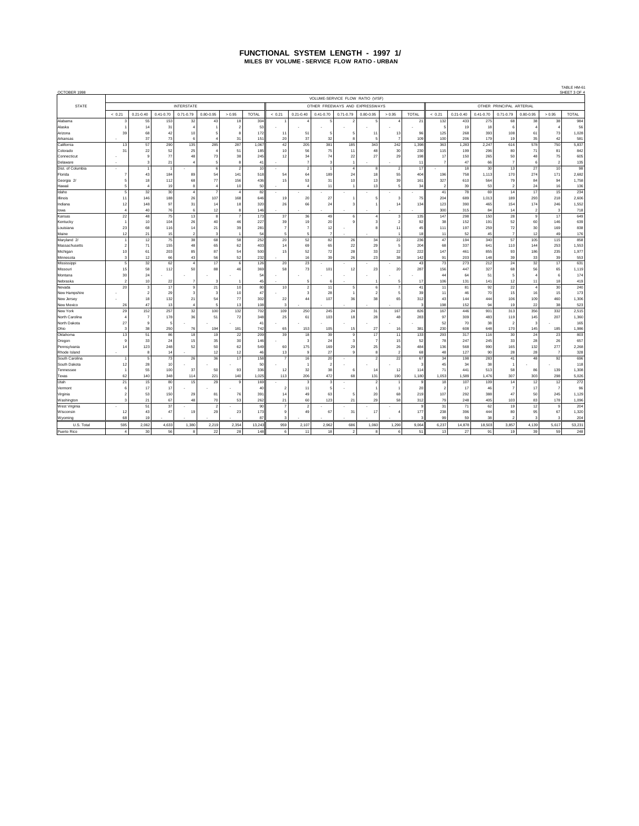## **FUNCTIONAL SYSTEM LENGTH - 1997 1/ MILES BY VOLUME - SERVICE FLOW RATIO - URBAN**

| OCTOBER 1998               |                         |                |               |               |                |                          |                       |                                  |                                |                         |                |                |                |                |                          |               |               |                 |                |                | I HOLE LIM-0<br>SHEET 3 OF |
|----------------------------|-------------------------|----------------|---------------|---------------|----------------|--------------------------|-----------------------|----------------------------------|--------------------------------|-------------------------|----------------|----------------|----------------|----------------|--------------------------|---------------|---------------|-----------------|----------------|----------------|----------------------------|
|                            |                         |                |               |               |                |                          |                       | VOLUME-SERVICE FLOW RATIO (V/SF) |                                |                         |                |                |                |                |                          |               |               |                 |                |                |                            |
| <b>STATE</b>               | <b>INTERSTATE</b>       |                |               |               |                |                          |                       | OTHER FREEWAYS AND EXPRESSWAYS   |                                |                         |                |                |                |                | OTHER PRINCIPAL ARTERIAL |               |               |                 |                |                |                            |
|                            | < 0.21                  | $0.21 - 0.40$  | $0.41 - 0.70$ | $0.71 - 0.79$ | $0.80 - 0.95$  | > 0.95                   | TOTAL                 | < 0.21                           | $0.21 - 0.40$                  | $0.41 - 0.70$           | $0.71 - 0.79$  | $0.80 - 0.95$  | > 0.95         | <b>TOTAL</b>   | < 0.21                   | $0.21 - 0.40$ | $0.41 - 0.70$ | $0.71 - 0.79$   | $0.80 - 0.95$  | > 0.95         | <b>TOTAL</b>               |
| Alabama                    |                         | 55             | 153           | 32            | 43             | 18                       | 30 <sub>4</sub>       |                                  |                                |                         |                | 5              |                | 21             | 132                      | 433           | 275           | 68              | 38             | 38             | 984                        |
| Alaska                     |                         | 14             | 31            |               |                |                          | 53                    |                                  |                                |                         |                |                |                |                |                          | 19            | 18            | 6               |                |                | 56                         |
| Arizona                    | 39                      | 68             | 42            | 10            | 5              |                          | 172                   | 11                               | 51                             | 5                       | 5              | 11             | 13             | 96             | 125                      | 268           | 393           | 108             | 61             | 73             | 1,028                      |
| Arkansas                   |                         | 37             | 73            | -6            |                | 31                       | 151                   | 20                               | 37                             | 32                      | 8              | 5              |                | 109            | 100                      | 206           | 179           | 19              | 35             | 42             | 581                        |
| California                 | 13                      | 57             | 290           | 135           | 285            | 287                      | 1,067                 | 42                               | 205                            | 381                     | 185            | 343            | 242            | 1,398          | 363                      | 1,283         | 2,24          | 616             | 578            | 750            | 5,837                      |
| Colorado                   | 31                      | 22             | 52            | 25            | $\overline{a}$ | 51                       | 185                   | 10                               | 56                             | 75                      | 11             | 48             | 30             | 230            | 115                      | 199           | 296           | 80              | 71             | 81             | 842                        |
| Connecticut                |                         | $\mathbf{Q}$   | 77            | 48            | 73             | 38                       | 245                   | 12                               | 34                             | 74                      | 22             | 27             | 29             | 198            | 17                       | 150           | 265           | 50              | 48             | 75             | 605                        |
| Delaware                   |                         | 3              | 21            |               | 5              |                          | 41                    |                                  | $\overline{7}$                 | $\overline{\mathbf{3}}$ |                |                |                | 11             | $\overline{7}$           | 47            | 66            | $\overline{7}$  | 6              | $\mathcal{P}$  | 135                        |
| Dist. of Columbia          |                         |                |               |               | 6              | $\overline{\phantom{a}}$ | 10                    |                                  | $\overline{2}$                 | $\overline{1}$          | $\overline{a}$ | 8              | $\mathcal{P}$  | 17             |                          | 18            | 30            | 13              | 27             | 10             | 98                         |
| Florida                    |                         | 43             | 184           | 89            | 54             | 141                      | 518                   | 54                               | 64                             | 189                     | 24             | 18             | 55             | 404            | 196                      | 758           | 1.113         | 170             | 274            | 171            | 2,682                      |
| Georgia 2/                 |                         | 18             | 112           | 68            | 77             | 156                      | 436                   | 15                               | 53                             | 31                      | 10             | 13             | 39             | 161            | 327                      | 610           | 564           | 79              | 84             | 94             | 1,758                      |
| Hawaii                     |                         |                | 19            | R             | $\overline{a}$ | 10                       | 50                    |                                  | $\overline{a}$                 | 11                      | 1              | 13             | 5              | 34             | $\overline{2}$           | 39            | 53            | $\mathcal{P}$   | 24             | 16             | 136                        |
| Idaho                      | 5                       | 32             | 30            |               | $\overline{7}$ |                          | 82                    |                                  |                                |                         |                |                |                |                | 41                       | 78            | 69            | 14              | 17             | 15             | 234                        |
| <b>Illinois</b>            | 11                      | 146            | 188           | 26            | 107            | 168                      | 646                   | 19                               | 20                             | 27                      |                | 5              | 3              | 75             | 204                      | 689           | 1,013         | 189             | 293            | 218            | 2,606                      |
| Indiana                    | 12                      | 148            | 97            | 31            | 14             | 18                       | 320                   | 26                               | 66                             | 24                      | з              |                | 14             | 134            | 123                      | 390           | 465           | 154             | 174            | 246            | 1,552                      |
| lowa                       |                         | 40             | 76            |               | 12             |                          | 146                   |                                  |                                |                         |                |                |                |                | 300                      | 315           | 84            | 14              |                |                | 718                        |
| Kansas                     | 22                      | 48             | 75            | 13            | 8              |                          | 173                   | 37                               | 36                             | 49                      | 6              |                | 3              | 135            | 147                      | 298           | 150           | 28              | $\mathbf{Q}$   | 17             | 649                        |
| <b>Kentucky</b>            |                         | 10             | 104           | 26            | 40             | 46                       | 227                   | 39                               | 19                             | 20                      |                |                | 2              | 92             | 38                       | 152           | 191           | 52              | 60             | 146            | 639                        |
| Louisiana                  | 23                      | 68             | 116           | 14            | 21             | 39                       | 281                   | 7                                | $\overline{7}$                 | 12                      |                |                | 11             | 45             | 111                      | 197           | 259           | 72              | 30             | 169            | 838                        |
| Maine                      | 12                      | 21             | 15            |               | $\mathbf{3}$   |                          | 54                    | £,                               | д                              |                         |                |                |                | 18             | 11                       | 52            | 45            | $\overline{7}$  | 12             | 49             | 176                        |
| Maryland 2/                |                         | 12             | 75            | 38            | 68             | 58                       | 252                   | 20                               | 52                             | 82                      | 26             | 34             | 22             | 236            | 47                       | 194           | 340           | 57              | 105            | 115            | 858                        |
| Massachusetts              | $\mathcal{P}$           | 71             | 155           | 48            | 65             | 62                       | 403                   | 14                               | 69                             | 65                      | 22             | 29             | 5              | 204            | 68                       | 337           | 641           | 110             | 144            | 253            | 1,553                      |
| Michigan                   | 10                      | 61             | 203           | 85            | 87             | 54                       | 500                   | 15                               | 52                             | 72                      | 28             | 33             | 22             | 222            | 147                      | 461           | 855           | 93              | 186            | 235            | 1,977                      |
| Minnesota                  | 3                       | 12             | 66            | 43            | 56             | 52                       | 232                   |                                  | 16                             | 39                      | 26             | 23             | 38             | 142            | 91                       | 203           | 148           | 39              | 33             | 39             | 553                        |
| Mississippi                | 5                       | 32             | 62            |               | 17             |                          | 126                   | 20                               | 23                             |                         |                |                |                | 43             | 73                       | 273           | 212           | 24              | 32             | 17             | 631                        |
| Missouri                   | 15                      | 58             | 112           | 50            | 88             | 46                       | 369                   | 58                               | 73                             | 101                     | 12             | 23             | 20             | 287            | 156                      | 447           | 327           | 68              | 56             | 65             | 1,119                      |
| Montana                    | 30                      | 24             |               |               |                |                          | 54                    |                                  |                                |                         |                |                |                |                | 44                       | 64            | 51            | 5               |                | 6              | 174                        |
| Nehraska                   | $\overline{2}$          | 10             | 22            |               | $\mathbf{3}$   |                          | 45                    |                                  | 5                              | 6                       |                |                | 5              | 17             | 106                      | 131           | 141           | 12              | 11             | 18             | 419                        |
| Nevada                     | 20                      | 3              | 17            | 9             | 21             | 10                       | 80                    | 10                               | $\overline{2}$<br>$\mathbf{3}$ | 11                      | 5              | 6              | $\overline{7}$ | 41             | 11                       | 81            | 92            | $\overline{22}$ | $\overline{a}$ | 30             | 240                        |
| New Hampshire              |                         | $\overline{2}$ | 29            |               | $\mathbf{3}$   | 10                       | 47                    |                                  |                                | 28                      |                | 2              | 5              | 39             | 11                       | 46            | 70            | 15              | 16             | 15             | 173                        |
| New Jersey                 |                         | 18<br>47       | 132<br>13     | 21            | 54<br>5        | 77<br>13                 | 302<br>108            | 22<br>$\mathbf{3}$               | 44                             | 107                     | 36             | 38             | 65             | 312<br>3       | 43<br>198                | 144           | 444<br>94     | 106<br>19       | 109<br>22      | 460<br>38      | 1,306<br>523               |
| New Mexico                 | 26                      |                | 257           | 32            | 100            |                          |                       | 109                              |                                | 245                     | 24             |                | 167            | 826            |                          | 152<br>446    | 901           | 313             | 356            | 332            | 2,515                      |
| New York<br>North Carolina | 29                      | 152            | 178           | 36            | 51             | 132<br>72                | 702<br>348            | 25                               | 250<br>61                      | 103                     | 18             | 31<br>28       | 48             | 283            | 167<br>97                | 309           | 483           | 119             | 145            | 207            | 1,360                      |
| North Dakota               | 27                      | я              | .5            |               |                |                          | $\mathbf{A}^{\prime}$ |                                  |                                |                         |                |                |                |                | 52                       | 70            | 38            | $\mathcal{P}$   | э              |                | 165                        |
| Ohio                       | 3                       | 38             | 250           | 76            | 194            | 181                      | 742                   | 65                               | 153                            | 105                     | 15             | 27             | 16             | 381            | 230                      | 608           | 648           | 170             | 145            | 185            | 1,986                      |
| Oklahoma                   | 13                      | 51             | 86            | 18            | 19             | 22                       | 209                   | 39                               | 18                             | 39                      | $\overline{9}$ | 17             | 11             | 133            | 293                      | 317           | 116           | 30              | 24             | 23             | 803                        |
| Oregon                     | $\mathbf{Q}$            | 33             | 24            | 15            | 35             | 30                       | 146                   |                                  | 3                              | 24                      | 3              | -7             | 15             | 52             | 78                       | 247           | 245           | 33              | 28             | 26             | 657                        |
| Pennsylvania               | 14                      | 123            | 248           | 52            | 50             | 62                       | 549                   | 60                               | 175                            | 169                     | 29             | 25             | 26             | 484            | 136                      | 568           | 990           | 165             | 132            | 277            | 2,268                      |
| Rhode Island               |                         |                | 14            |               | 12             | 12                       | 46                    | 13                               | $\mathbf{Q}$                   | 27                      | $\circ$        | g              | $\mathcal{P}$  | 68             | 48                       | 127           | 90            | 28              | 28             |                | 328                        |
| South Carolina             |                         | $\mathbf{r}$   | 73            | 26            | 36             | 17                       | 158                   |                                  | 16                             | 20                      |                | ٥              | 22             | 67             | 34                       | 198           | 283           | 41              | 48             | 92             | 696                        |
| South Dakota               | 12                      | 28             | 10            |               |                |                          | 50                    |                                  |                                | 2                       |                |                |                | 3              | 45                       | 34            | 38            |                 |                |                | 118                        |
| Tennessee                  |                         | 55             | 100           | 37            | 50             | 93                       | 336                   | 12                               | 32                             | 38                      | 6              | 14             | 12             | 114            | 71                       | 441           | 513           | 58              | 86             | 139            | 1,308                      |
| Texas                      | 62                      | 140            | 348           | 114           | 221            | 140                      | 1.025                 | 113                              | 206                            | 472                     | 68             | 131            | 190            | 1,180          | 1,053                    | 1.589         | 1.476         | 307             | 303            | 298            | 5,026                      |
| Utah                       | 21                      | 15             | 80            | 15            | 29             |                          | 169                   |                                  | 3                              | 3                       |                | $\overline{2}$ |                | $\overline{9}$ | 18                       | 107           | 109           | 14              | 12             | 12             | 272                        |
| Vermont                    | 6                       | 17             | 17            |               |                |                          | 40                    | 2                                | 11                             | 5                       |                |                |                | 20             | $\overline{2}$           | 17            | 46            | $\overline{7}$  | 17             | $\overline{7}$ | 96                         |
| Virginia                   | $\mathcal{P}$           | 53             | 150           | 29            | 81             | 76                       | 391                   | 14                               | 49                             | 63                      | 5              | 20             | 68             | 219            | 107                      | 292           | 388           | 47              | 50             | 245            | 1,129                      |
| Washington                 | $\overline{\mathbf{a}}$ | 21             | 67            | 48            | 70             | 53                       | 262                   | 21                               | 60                             | 123                     | 21             | 29             | 58             | 312            | 79                       | 248           | 405           | 103             | 83             | 178            | 1,096                      |
| West Virginia              |                         | 51             | 37            |               | $\overline{2}$ |                          | 90                    | $\overline{z}$                   | $\overline{2}$                 |                         |                |                |                | 9              | 31                       | 71            | 62            | 19              | 12             | $\mathbf{Q}$   | 204                        |
| Wisconsin                  | 12                      | 43             | 47            | 19            | 29             | 23                       | 173                   | s                                | 49                             | 67                      | 31             | 17             | 4              | 177            | 238                      | 396           | 444           | 80              | 95             | 67             | 1,320                      |
| Wyoming                    | 68                      | 19             |               |               |                |                          | 87                    |                                  |                                |                         |                |                |                |                | 99                       | 59            | 38            | $\mathcal{D}$   |                |                | 204                        |
| U.S. Total                 | 595                     | 2.062          | 4.633         | 1,380         | 2,219          | 2.354                    | 13.243                | 959                              | 2,107                          | 2.962                   | 686            | 1,060          | 1,290          | 9.064          | 6,237                    | 14,878        | 18,503        | 3.857           | 4.139          | 5,617          | 53,231                     |
| Puerto Rico                | $\overline{4}$          | 30             | 56            | 8             | 22             | 28                       | 148                   | 6 <sup>1</sup>                   | 11                             | 18                      | $\overline{2}$ | 8              | 6              | 51             | 13                       | 27            | 91            | 19              | 39             | 59             | 248                        |

TABLE HM-61